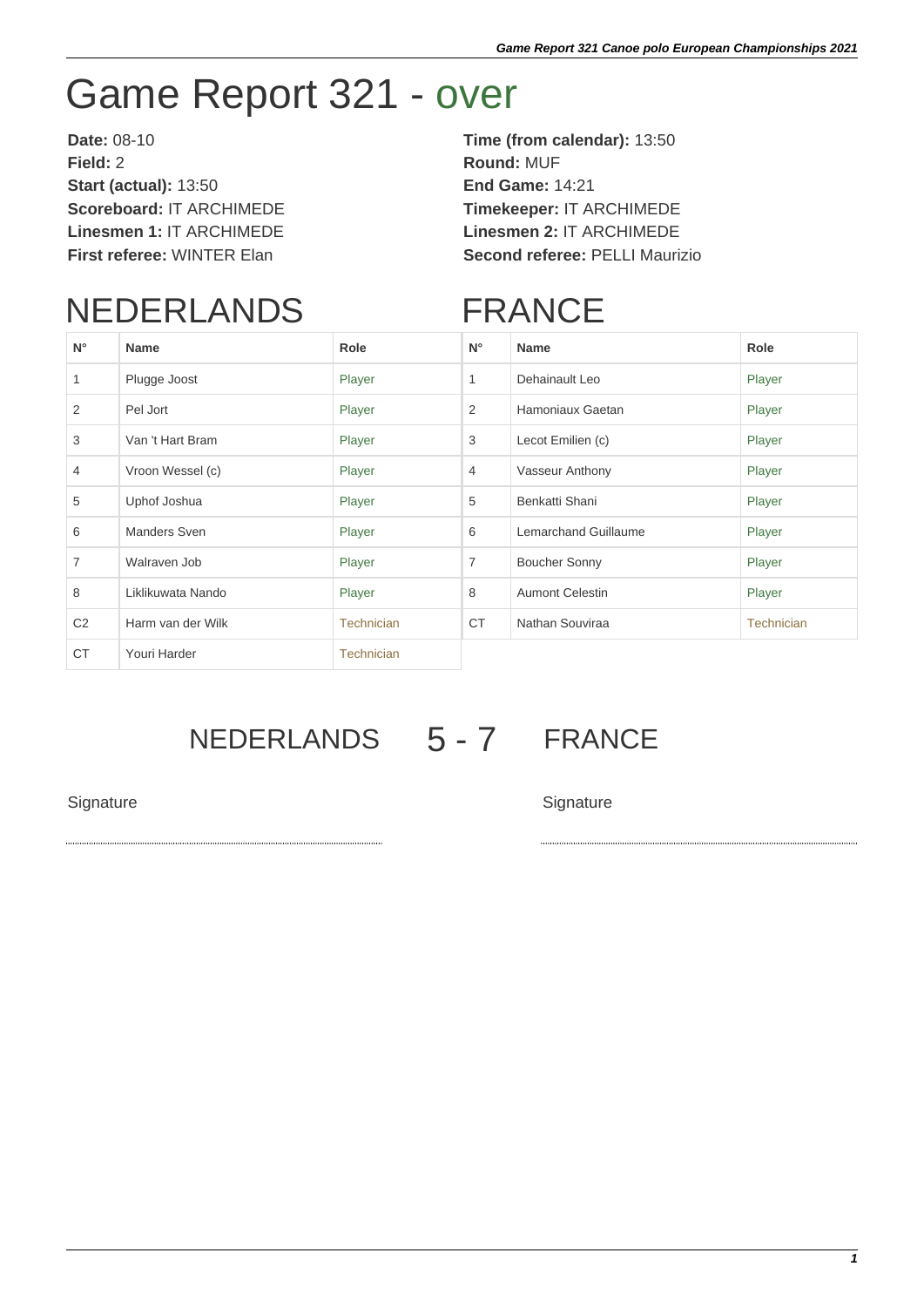## Game Report 321 - over

**Date:** 08-10 **Time (from calendar):** 13:50 **Field:** 2 **Round:** MUF **Start (actual):** 13:50 **End Game:** 14:21 **Scoreboard:** IT ARCHIMEDE **Timekeeper:** IT ARCHIMEDE **Linesmen 1:** IT ARCHIMEDE **Linesmen 2:** IT ARCHIMEDE

**First referee:** WINTER Elan **Second referee:** PELLI Maurizio

## NEDERLANDS

## FRANCE

| $N^{\circ}$    | <b>Name</b>       | Role              | $N^{\circ}$    | <b>Name</b>            | Role              |
|----------------|-------------------|-------------------|----------------|------------------------|-------------------|
| 1              | Plugge Joost      | Player            | 1              | Dehainault Leo         | Player            |
| 2              | Pel Jort          | Player            | 2              | Hamoniaux Gaetan       | Player            |
| 3              | Van 't Hart Bram  | Player            | 3              | Lecot Emilien (c)      | Player            |
| $\overline{4}$ | Vroon Wessel (c)  | Player            | $\overline{4}$ | Vasseur Anthony        | Player            |
| 5              | Uphof Joshua      | Player            | 5              | Benkatti Shani         | Player            |
| 6              | Manders Sven      | Player            | 6              | Lemarchand Guillaume   | Player            |
| $\overline{7}$ | Walraven Job      | Player            | $\overline{7}$ | <b>Boucher Sonny</b>   | Player            |
| 8              | Liklikuwata Nando | Player            | 8              | <b>Aumont Celestin</b> | Player            |
| C <sub>2</sub> | Harm van der Wilk | <b>Technician</b> | <b>CT</b>      | Nathan Souviraa        | <b>Technician</b> |
| <b>CT</b>      | Youri Harder      | <b>Technician</b> |                |                        |                   |

## NEDERLANDS 5 - 7 FRANCE

Signature Signature Signature Signature Signature Signature Signature Signature